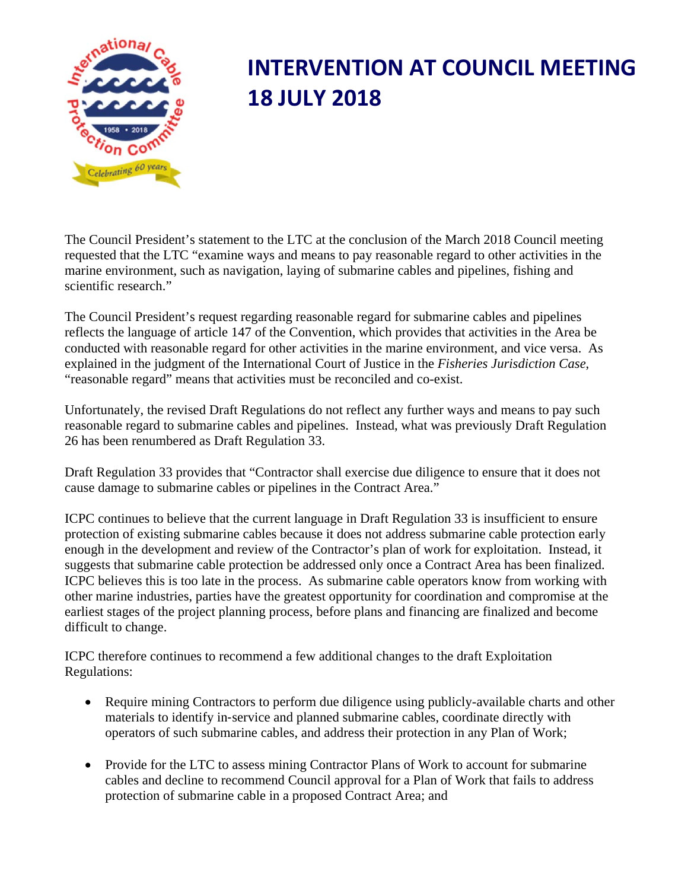

## **INTERVENTION AT COUNCIL MEETING 18 JULY 2018**

The Council President's statement to the LTC at the conclusion of the March 2018 Council meeting requested that the LTC "examine ways and means to pay reasonable regard to other activities in the marine environment, such as navigation, laying of submarine cables and pipelines, fishing and scientific research."

The Council President's request regarding reasonable regard for submarine cables and pipelines reflects the language of article 147 of the Convention, which provides that activities in the Area be conducted with reasonable regard for other activities in the marine environment, and vice versa. As explained in the judgment of the International Court of Justice in the *Fisheries Jurisdiction Case*, "reasonable regard" means that activities must be reconciled and co-exist.

Unfortunately, the revised Draft Regulations do not reflect any further ways and means to pay such reasonable regard to submarine cables and pipelines. Instead, what was previously Draft Regulation 26 has been renumbered as Draft Regulation 33.

Draft Regulation 33 provides that "Contractor shall exercise due diligence to ensure that it does not cause damage to submarine cables or pipelines in the Contract Area."

ICPC continues to believe that the current language in Draft Regulation 33 is insufficient to ensure protection of existing submarine cables because it does not address submarine cable protection early enough in the development and review of the Contractor's plan of work for exploitation. Instead, it suggests that submarine cable protection be addressed only once a Contract Area has been finalized. ICPC believes this is too late in the process. As submarine cable operators know from working with other marine industries, parties have the greatest opportunity for coordination and compromise at the earliest stages of the project planning process, before plans and financing are finalized and become difficult to change.

ICPC therefore continues to recommend a few additional changes to the draft Exploitation Regulations:

- Require mining Contractors to perform due diligence using publicly-available charts and other materials to identify in‐service and planned submarine cables, coordinate directly with operators of such submarine cables, and address their protection in any Plan of Work;
- Provide for the LTC to assess mining Contractor Plans of Work to account for submarine cables and decline to recommend Council approval for a Plan of Work that fails to address protection of submarine cable in a proposed Contract Area; and